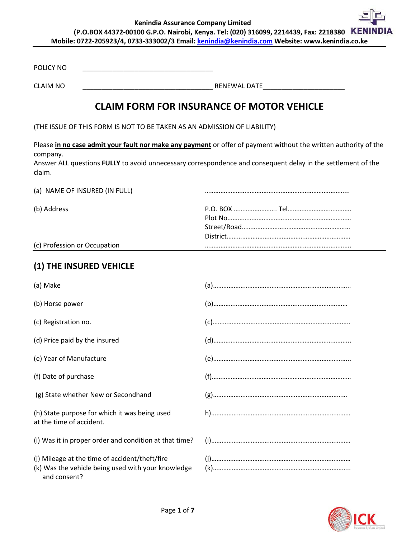**Kenindia Assurance Company Limited (P.O.BOX 44372-00100 G.P.O. Nairobi, Kenya. Tel: (020) 316099, 2214439, Fax: 2218380 Mobile: 0722-205923/4, 0733-333002/3 Email: kenindia@kenindia.com Website: www.kenindia.co.ke**

POLICY NO \_\_\_\_\_\_\_\_\_\_\_\_\_\_\_\_\_\_\_\_\_\_\_\_\_\_\_\_\_\_\_\_\_\_\_

CLAIM NO \_\_\_\_\_\_\_\_\_\_\_\_\_\_\_\_\_\_\_\_\_\_\_\_\_\_\_\_\_\_\_\_\_\_\_ RENEWAL DATE\_\_\_\_\_\_\_\_\_\_\_\_\_\_\_\_\_\_\_\_\_\_

# **CLAIM FORM FOR INSURANCE OF MOTOR VEHICLE**

(THE ISSUE OF THIS FORM IS NOT TO BE TAKEN AS AN ADMISSION OF LIABILITY)

Please **in no case admit your fault nor make any payment** or offer of payment without the written authority of the company.

Answer ALL questions **FULLY** to avoid unnecessary correspondence and consequent delay in the settlement of the claim.

| (a) NAME OF INSURED (IN FULL) |  |
|-------------------------------|--|
| (b) Address                   |  |
| (c) Profession or Occupation  |  |

#### **(1) THE INSURED VEHICLE**

| (a) Make                                                                                                             |  |
|----------------------------------------------------------------------------------------------------------------------|--|
| (b) Horse power                                                                                                      |  |
| (c) Registration no.                                                                                                 |  |
| (d) Price paid by the insured                                                                                        |  |
| (e) Year of Manufacture                                                                                              |  |
| (f) Date of purchase                                                                                                 |  |
| (g) State whether New or Secondhand                                                                                  |  |
| (h) State purpose for which it was being used<br>at the time of accident.                                            |  |
| (i) Was it in proper order and condition at that time?                                                               |  |
| (i) Mileage at the time of accident/theft/fire<br>(k) Was the vehicle being used with your knowledge<br>and consent? |  |

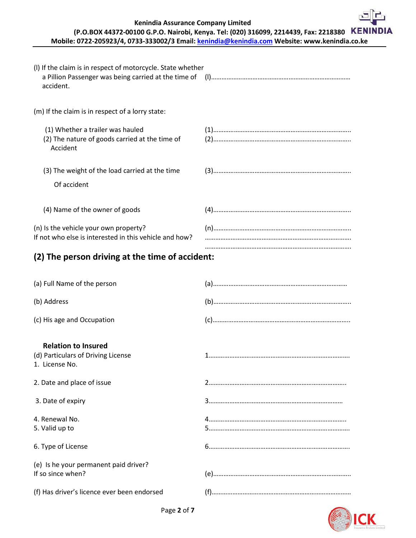**Kenindia Assurance Company Limited**

### **(P.O.BOX 44372-00100 G.P.O. Nairobi, Kenya. Tel: (020) 316099, 2214439, Fax: 2218380 Mobile: 0722-205923/4, 0733-333002/3 Email[: kenindia@kenindia.com](mailto:kenindia@kenindia.com) Website: www.kenindia.co.ke**

| (I) If the claim is in respect of motorcycle. State whether<br>accident.                        |  |
|-------------------------------------------------------------------------------------------------|--|
| (m) If the claim is in respect of a lorry state:                                                |  |
| (1) Whether a trailer was hauled<br>(2) The nature of goods carried at the time of<br>Accident  |  |
| (3) The weight of the load carried at the time<br>Of accident                                   |  |
| (4) Name of the owner of goods                                                                  |  |
| (n) Is the vehicle your own property?<br>If not who else is interested in this vehicle and how? |  |
| (2) The person driving at the time of accident:                                                 |  |
| (a) Full Name of the person                                                                     |  |
| (b) Address                                                                                     |  |
| (c) His age and Occupation                                                                      |  |
| <b>Relation to Insured</b><br>(d) Particulars of Driving License<br>1. License No.              |  |
| 2. Date and place of issue                                                                      |  |
| 3. Date of expiry                                                                               |  |
| 4. Renewal No.<br>5. Valid up to                                                                |  |
| 6. Type of License                                                                              |  |
| (e) Is he your permanent paid driver?<br>If so since when?                                      |  |
| (f) Has driver's licence ever been endorsed                                                     |  |

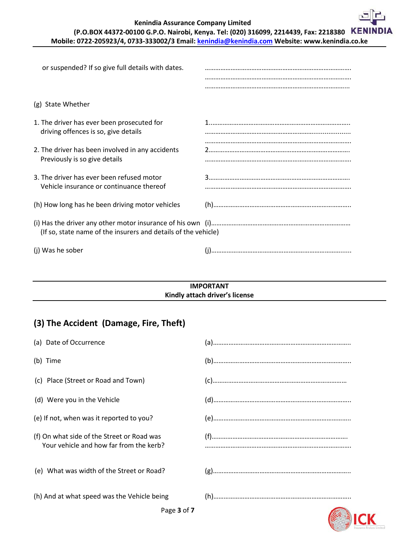**Kenindia Assurance Company Limited**

### **(P.O.BOX 44372-00100 G.P.O. Nairobi, Kenya. Tel: (020) 316099, 2214439, Fax: 2218380 Mobile: 0722-205923/4, 0733-333002/3 Email[: kenindia@kenindia.com](mailto:kenindia@kenindia.com) Website: www.kenindia.co.ke**

| or suspended? If so give full details with dates.                                     |  |
|---------------------------------------------------------------------------------------|--|
| (g) State Whether                                                                     |  |
| 1. The driver has ever been prosecuted for<br>driving offences is so, give details    |  |
| 2. The driver has been involved in any accidents<br>Previously is so give details     |  |
| 3. The driver has ever been refused motor<br>Vehicle insurance or continuance thereof |  |
| (h) How long has he been driving motor vehicles                                       |  |
| (If so, state name of the insurers and details of the vehicle)                        |  |
| (i) Was he sober                                                                      |  |

#### **IMPORTANT Kindly attach driver's license**

# **(3) The Accident (Damage, Fire, Theft)**

| Page 3 of 7                                                                           |  |
|---------------------------------------------------------------------------------------|--|
| (h) And at what speed was the Vehicle being                                           |  |
| (e) What was width of the Street or Road?                                             |  |
| (f) On what side of the Street or Road was<br>Your vehicle and how far from the kerb? |  |
| (e) If not, when was it reported to you?                                              |  |
| (d) Were you in the Vehicle                                                           |  |
| (c) Place (Street or Road and Town)                                                   |  |
| (b) Time                                                                              |  |
| (a) Date of Occurrence                                                                |  |

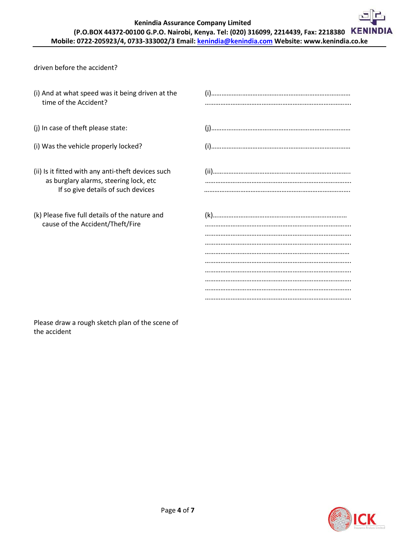**Kenindia Assurance Company Limited**

## **(P.O.BOX 44372-00100 G.P.O. Nairobi, Kenya. Tel: (020) 316099, 2214439, Fax: 2218380 Mobile: 0722-205923/4, 0733-333002/3 Email: kenindia@kenindia.com Website: www.kenindia.co.ke**

driven before the accident?

| (i) And at what speed was it being driven at the<br>time of the Accident?                                                          |  |
|------------------------------------------------------------------------------------------------------------------------------------|--|
| (j) In case of theft please state:                                                                                                 |  |
| (i) Was the vehicle properly locked?                                                                                               |  |
| (ii) Is it fitted with any anti-theft devices such<br>as burglary alarms, steering lock, etc<br>If so give details of such devices |  |
| (k) Please five full details of the nature and<br>cause of the Accident/Theft/Fire                                                 |  |

Please draw a rough sketch plan of the scene of the accident

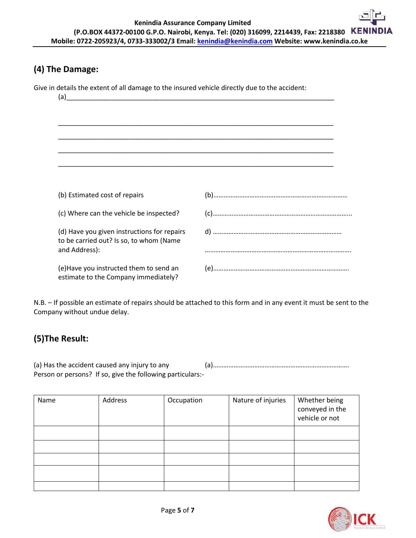### **(4) The Damage:**

Give in details the extent of all damage to the insured vehicle directly due to the accident:

| (a)                                                                                                     |  |
|---------------------------------------------------------------------------------------------------------|--|
|                                                                                                         |  |
|                                                                                                         |  |
|                                                                                                         |  |
|                                                                                                         |  |
|                                                                                                         |  |
| (b) Estimated cost of repairs                                                                           |  |
| (c) Where can the vehicle be inspected?                                                                 |  |
| (d) Have you given instructions for repairs<br>to be carried out? Is so, to whom (Name<br>and Address): |  |
|                                                                                                         |  |
| (e) Have you instructed them to send an<br>estimate to the Company immediately?                         |  |

N.B. – If possible an estimate of repairs should be attached to this form and in any event it must be sent to the Company without undue delay.

# **(5)The Result:**

(a) Has the accident caused any injury to any (a)……………………………………………………………………. Person or persons? If so, give the following particulars:-

| Name | Address | Occupation | Nature of injuries | Whether being<br>conveyed in the<br>vehicle or not |
|------|---------|------------|--------------------|----------------------------------------------------|
|      |         |            |                    |                                                    |
|      |         |            |                    |                                                    |
|      |         |            |                    |                                                    |
|      |         |            |                    |                                                    |
|      |         |            |                    |                                                    |

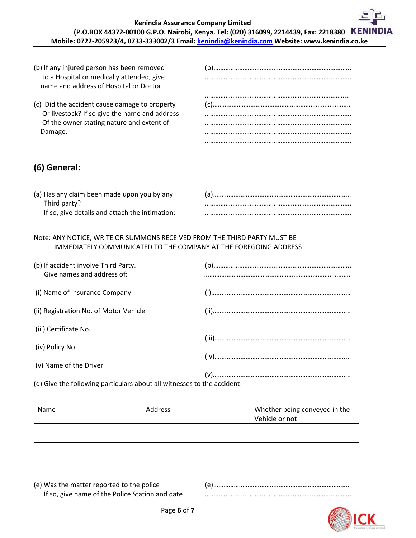| (b) If any injured person has been removed<br>to a Hospital or medically attended, give<br>name and address of Hospital or Doctor |  |
|-----------------------------------------------------------------------------------------------------------------------------------|--|
| (c) Did the accident cause damage to property<br>Or livestock? If so give the name and address                                    |  |
| Of the owner stating nature and extent of<br>Damage.                                                                              |  |
|                                                                                                                                   |  |

# **(6) General:**

| (a) Has any claim been made upon you by any    |  |
|------------------------------------------------|--|
| Third party?                                   |  |
| If so, give details and attach the intimation: |  |

#### Note: ANY NOTICE, WRITE OR SUMMONS RECEIVED FROM THE THIRD PARTY MUST BE IMMEDIATELY COMMUNICATED TO THE COMPANY AT THE FOREGOING ADDRESS

| (b) If accident involve Third Party.<br>Give names and address of: |  |
|--------------------------------------------------------------------|--|
| (i) Name of Insurance Company                                      |  |
| (ii) Registration No. of Motor Vehicle                             |  |
| (iii) Certificate No.                                              |  |
| (iv) Policy No.                                                    |  |
| (v) Name of the Driver                                             |  |

(d) Give the following particulars about all witnesses to the accident: -

| Name                                             | Address | Whether being conveyed in the<br>Vehicle or not |
|--------------------------------------------------|---------|-------------------------------------------------|
|                                                  |         |                                                 |
|                                                  |         |                                                 |
|                                                  |         |                                                 |
|                                                  |         |                                                 |
|                                                  |         |                                                 |
|                                                  |         |                                                 |
|                                                  |         |                                                 |
| (e) Was the matter reported to the police<br>(e) |         |                                                 |

If so, give name of the Police Station and date *manumanon manumanon manumanon manumanon*